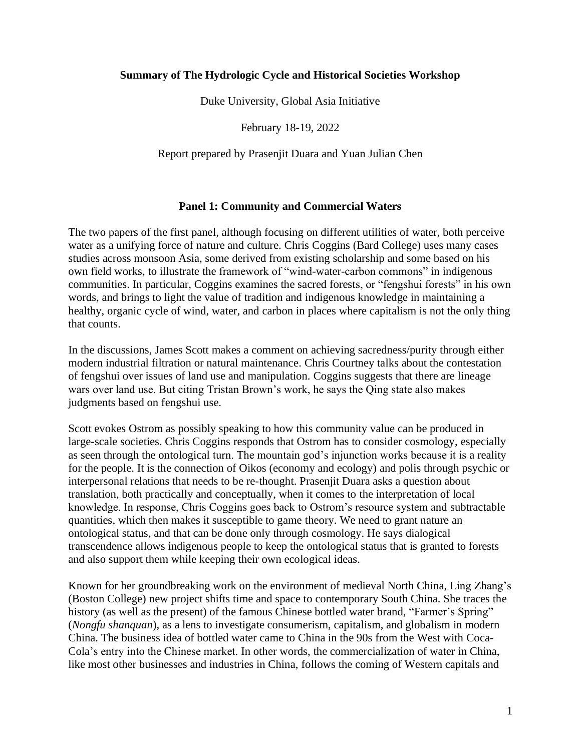### **Summary of The Hydrologic Cycle and Historical Societies Workshop**

Duke University, Global Asia Initiative

February 18-19, 2022

Report prepared by Prasenjit Duara and Yuan Julian Chen

### **Panel 1: Community and Commercial Waters**

The two papers of the first panel, although focusing on different utilities of water, both perceive water as a unifying force of nature and culture. Chris Coggins (Bard College) uses many cases studies across monsoon Asia, some derived from existing scholarship and some based on his own field works, to illustrate the framework of "wind-water-carbon commons" in indigenous communities. In particular, Coggins examines the sacred forests, or "fengshui forests" in his own words, and brings to light the value of tradition and indigenous knowledge in maintaining a healthy, organic cycle of wind, water, and carbon in places where capitalism is not the only thing that counts.

In the discussions, James Scott makes a comment on achieving sacredness/purity through either modern industrial filtration or natural maintenance. Chris Courtney talks about the contestation of fengshui over issues of land use and manipulation. Coggins suggests that there are lineage wars over land use. But citing Tristan Brown's work, he says the Qing state also makes judgments based on fengshui use.

Scott evokes Ostrom as possibly speaking to how this community value can be produced in large-scale societies. Chris Coggins responds that Ostrom has to consider cosmology, especially as seen through the ontological turn. The mountain god's injunction works because it is a reality for the people. It is the connection of Oikos (economy and ecology) and polis through psychic or interpersonal relations that needs to be re-thought. Prasenjit Duara asks a question about translation, both practically and conceptually, when it comes to the interpretation of local knowledge. In response, Chris Coggins goes back to Ostrom's resource system and subtractable quantities, which then makes it susceptible to game theory. We need to grant nature an ontological status, and that can be done only through cosmology. He says dialogical transcendence allows indigenous people to keep the ontological status that is granted to forests and also support them while keeping their own ecological ideas.

Known for her groundbreaking work on the environment of medieval North China, Ling Zhang's (Boston College) new project shifts time and space to contemporary South China. She traces the history (as well as the present) of the famous Chinese bottled water brand, "Farmer's Spring" (*Nongfu shanquan*), as a lens to investigate consumerism, capitalism, and globalism in modern China. The business idea of bottled water came to China in the 90s from the West with Coca-Cola's entry into the Chinese market. In other words, the commercialization of water in China, like most other businesses and industries in China, follows the coming of Western capitals and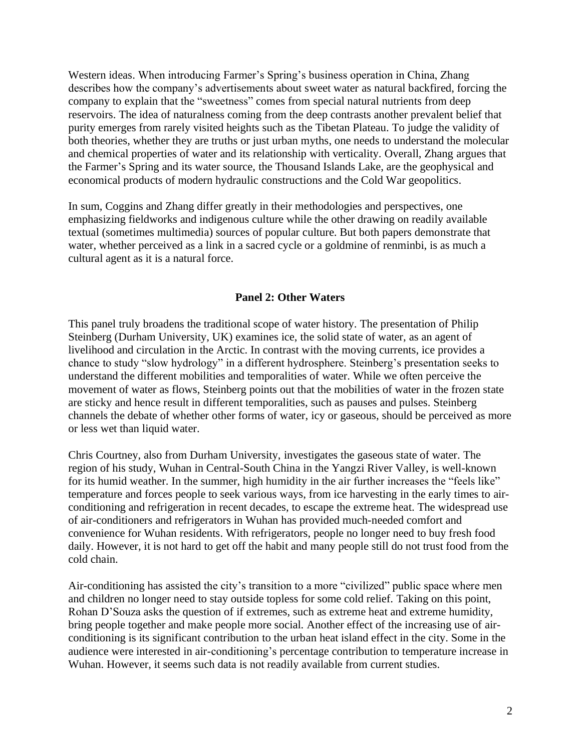Western ideas. When introducing Farmer's Spring's business operation in China, Zhang describes how the company's advertisements about sweet water as natural backfired, forcing the company to explain that the "sweetness" comes from special natural nutrients from deep reservoirs. The idea of naturalness coming from the deep contrasts another prevalent belief that purity emerges from rarely visited heights such as the Tibetan Plateau. To judge the validity of both theories, whether they are truths or just urban myths, one needs to understand the molecular and chemical properties of water and its relationship with verticality. Overall, Zhang argues that the Farmer's Spring and its water source, the Thousand Islands Lake, are the geophysical and economical products of modern hydraulic constructions and the Cold War geopolitics.

In sum, Coggins and Zhang differ greatly in their methodologies and perspectives, one emphasizing fieldworks and indigenous culture while the other drawing on readily available textual (sometimes multimedia) sources of popular culture. But both papers demonstrate that water, whether perceived as a link in a sacred cycle or a goldmine of renminbi, is as much a cultural agent as it is a natural force.

# **Panel 2: Other Waters**

This panel truly broadens the traditional scope of water history. The presentation of Philip Steinberg (Durham University, UK) examines ice, the solid state of water, as an agent of livelihood and circulation in the Arctic. In contrast with the moving currents, ice provides a chance to study "slow hydrology" in a different hydrosphere. Steinberg's presentation seeks to understand the different mobilities and temporalities of water. While we often perceive the movement of water as flows, Steinberg points out that the mobilities of water in the frozen state are sticky and hence result in different temporalities, such as pauses and pulses. Steinberg channels the debate of whether other forms of water, icy or gaseous, should be perceived as more or less wet than liquid water.

Chris Courtney, also from Durham University, investigates the gaseous state of water. The region of his study, Wuhan in Central-South China in the Yangzi River Valley, is well-known for its humid weather. In the summer, high humidity in the air further increases the "feels like" temperature and forces people to seek various ways, from ice harvesting in the early times to airconditioning and refrigeration in recent decades, to escape the extreme heat. The widespread use of air-conditioners and refrigerators in Wuhan has provided much-needed comfort and convenience for Wuhan residents. With refrigerators, people no longer need to buy fresh food daily. However, it is not hard to get off the habit and many people still do not trust food from the cold chain.

Air-conditioning has assisted the city's transition to a more "civilized" public space where men and children no longer need to stay outside topless for some cold relief. Taking on this point, Rohan D'Souza asks the question of if extremes, such as extreme heat and extreme humidity, bring people together and make people more social. Another effect of the increasing use of airconditioning is its significant contribution to the urban heat island effect in the city. Some in the audience were interested in air-conditioning's percentage contribution to temperature increase in Wuhan. However, it seems such data is not readily available from current studies.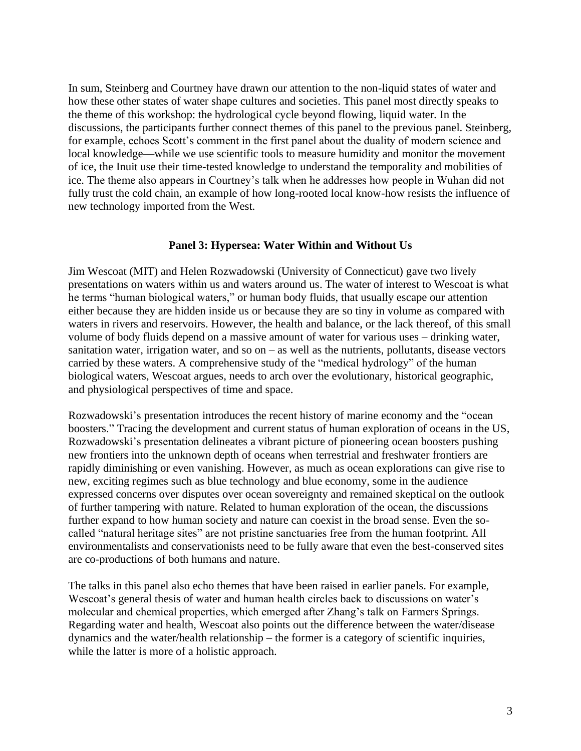In sum, Steinberg and Courtney have drawn our attention to the non-liquid states of water and how these other states of water shape cultures and societies. This panel most directly speaks to the theme of this workshop: the hydrological cycle beyond flowing, liquid water. In the discussions, the participants further connect themes of this panel to the previous panel. Steinberg, for example, echoes Scott's comment in the first panel about the duality of modern science and local knowledge—while we use scientific tools to measure humidity and monitor the movement of ice, the Inuit use their time-tested knowledge to understand the temporality and mobilities of ice. The theme also appears in Courtney's talk when he addresses how people in Wuhan did not fully trust the cold chain, an example of how long-rooted local know-how resists the influence of new technology imported from the West.

# **Panel 3: Hypersea: Water Within and Without Us**

Jim Wescoat (MIT) and Helen Rozwadowski (University of Connecticut) gave two lively presentations on waters within us and waters around us. The water of interest to Wescoat is what he terms "human biological waters," or human body fluids, that usually escape our attention either because they are hidden inside us or because they are so tiny in volume as compared with waters in rivers and reservoirs. However, the health and balance, or the lack thereof, of this small volume of body fluids depend on a massive amount of water for various uses – drinking water, sanitation water, irrigation water, and so on  $-$  as well as the nutrients, pollutants, disease vectors carried by these waters. A comprehensive study of the "medical hydrology" of the human biological waters, Wescoat argues, needs to arch over the evolutionary, historical geographic, and physiological perspectives of time and space.

Rozwadowski's presentation introduces the recent history of marine economy and the "ocean boosters." Tracing the development and current status of human exploration of oceans in the US, Rozwadowski's presentation delineates a vibrant picture of pioneering ocean boosters pushing new frontiers into the unknown depth of oceans when terrestrial and freshwater frontiers are rapidly diminishing or even vanishing. However, as much as ocean explorations can give rise to new, exciting regimes such as blue technology and blue economy, some in the audience expressed concerns over disputes over ocean sovereignty and remained skeptical on the outlook of further tampering with nature. Related to human exploration of the ocean, the discussions further expand to how human society and nature can coexist in the broad sense. Even the socalled "natural heritage sites" are not pristine sanctuaries free from the human footprint. All environmentalists and conservationists need to be fully aware that even the best-conserved sites are co-productions of both humans and nature.

The talks in this panel also echo themes that have been raised in earlier panels. For example, Wescoat's general thesis of water and human health circles back to discussions on water's molecular and chemical properties, which emerged after Zhang's talk on Farmers Springs. Regarding water and health, Wescoat also points out the difference between the water/disease dynamics and the water/health relationship – the former is a category of scientific inquiries, while the latter is more of a holistic approach.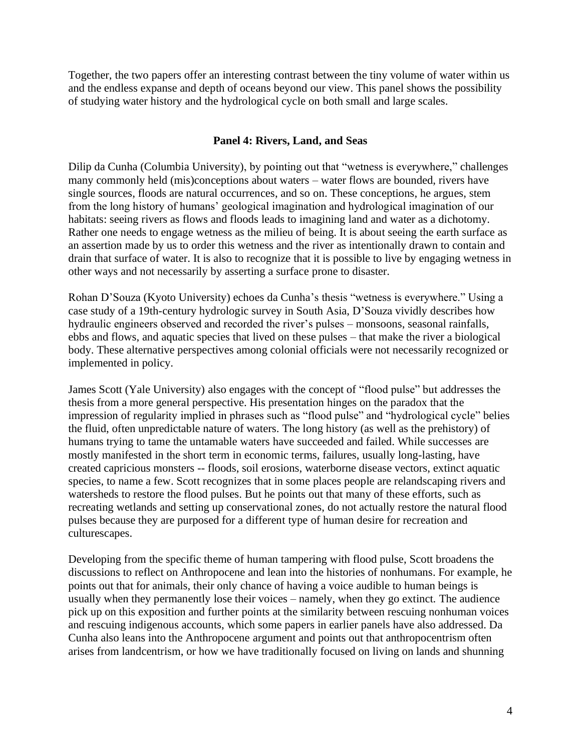Together, the two papers offer an interesting contrast between the tiny volume of water within us and the endless expanse and depth of oceans beyond our view. This panel shows the possibility of studying water history and the hydrological cycle on both small and large scales.

# **Panel 4: Rivers, Land, and Seas**

Dilip da Cunha (Columbia University), by pointing out that "wetness is everywhere," challenges many commonly held (mis)conceptions about waters – water flows are bounded, rivers have single sources, floods are natural occurrences, and so on. These conceptions, he argues, stem from the long history of humans' geological imagination and hydrological imagination of our habitats: seeing rivers as flows and floods leads to imagining land and water as a dichotomy. Rather one needs to engage wetness as the milieu of being. It is about seeing the earth surface as an assertion made by us to order this wetness and the river as intentionally drawn to contain and drain that surface of water. It is also to recognize that it is possible to live by engaging wetness in other ways and not necessarily by asserting a surface prone to disaster.

Rohan D'Souza (Kyoto University) echoes da Cunha's thesis "wetness is everywhere." Using a case study of a 19th-century hydrologic survey in South Asia, D'Souza vividly describes how hydraulic engineers observed and recorded the river's pulses – monsoons, seasonal rainfalls, ebbs and flows, and aquatic species that lived on these pulses – that make the river a biological body. These alternative perspectives among colonial officials were not necessarily recognized or implemented in policy.

James Scott (Yale University) also engages with the concept of "flood pulse" but addresses the thesis from a more general perspective. His presentation hinges on the paradox that the impression of regularity implied in phrases such as "flood pulse" and "hydrological cycle" belies the fluid, often unpredictable nature of waters. The long history (as well as the prehistory) of humans trying to tame the untamable waters have succeeded and failed. While successes are mostly manifested in the short term in economic terms, failures, usually long-lasting, have created capricious monsters -- floods, soil erosions, waterborne disease vectors, extinct aquatic species, to name a few. Scott recognizes that in some places people are relandscaping rivers and watersheds to restore the flood pulses. But he points out that many of these efforts, such as recreating wetlands and setting up conservational zones, do not actually restore the natural flood pulses because they are purposed for a different type of human desire for recreation and culturescapes.

Developing from the specific theme of human tampering with flood pulse, Scott broadens the discussions to reflect on Anthropocene and lean into the histories of nonhumans. For example, he points out that for animals, their only chance of having a voice audible to human beings is usually when they permanently lose their voices – namely, when they go extinct. The audience pick up on this exposition and further points at the similarity between rescuing nonhuman voices and rescuing indigenous accounts, which some papers in earlier panels have also addressed. Da Cunha also leans into the Anthropocene argument and points out that anthropocentrism often arises from landcentrism, or how we have traditionally focused on living on lands and shunning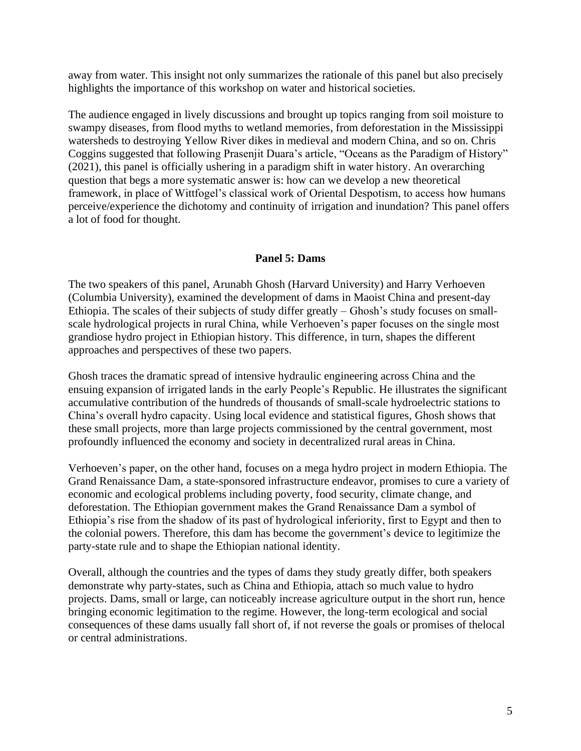away from water. This insight not only summarizes the rationale of this panel but also precisely highlights the importance of this workshop on water and historical societies.

The audience engaged in lively discussions and brought up topics ranging from soil moisture to swampy diseases, from flood myths to wetland memories, from deforestation in the Mississippi watersheds to destroying Yellow River dikes in medieval and modern China, and so on. Chris Coggins suggested that following Prasenjit Duara's article, "Oceans as the Paradigm of History" (2021), this panel is officially ushering in a paradigm shift in water history. An overarching question that begs a more systematic answer is: how can we develop a new theoretical framework, in place of Wittfogel's classical work of Oriental Despotism, to access how humans perceive/experience the dichotomy and continuity of irrigation and inundation? This panel offers a lot of food for thought.

### **Panel 5: Dams**

The two speakers of this panel, Arunabh Ghosh (Harvard University) and Harry Verhoeven (Columbia University), examined the development of dams in Maoist China and present-day Ethiopia. The scales of their subjects of study differ greatly – Ghosh's study focuses on smallscale hydrological projects in rural China, while Verhoeven's paper focuses on the single most grandiose hydro project in Ethiopian history. This difference, in turn, shapes the different approaches and perspectives of these two papers.

Ghosh traces the dramatic spread of intensive hydraulic engineering across China and the ensuing expansion of irrigated lands in the early People's Republic. He illustrates the significant accumulative contribution of the hundreds of thousands of small-scale hydroelectric stations to China's overall hydro capacity. Using local evidence and statistical figures, Ghosh shows that these small projects, more than large projects commissioned by the central government, most profoundly influenced the economy and society in decentralized rural areas in China.

Verhoeven's paper, on the other hand, focuses on a mega hydro project in modern Ethiopia. The Grand Renaissance Dam, a state-sponsored infrastructure endeavor, promises to cure a variety of economic and ecological problems including poverty, food security, climate change, and deforestation. The Ethiopian government makes the Grand Renaissance Dam a symbol of Ethiopia's rise from the shadow of its past of hydrological inferiority, first to Egypt and then to the colonial powers. Therefore, this dam has become the government's device to legitimize the party-state rule and to shape the Ethiopian national identity.

Overall, although the countries and the types of dams they study greatly differ, both speakers demonstrate why party-states, such as China and Ethiopia, attach so much value to hydro projects. Dams, small or large, can noticeably increase agriculture output in the short run, hence bringing economic legitimation to the regime. However, the long-term ecological and social consequences of these dams usually fall short of, if not reverse the goals or promises of thelocal or central administrations.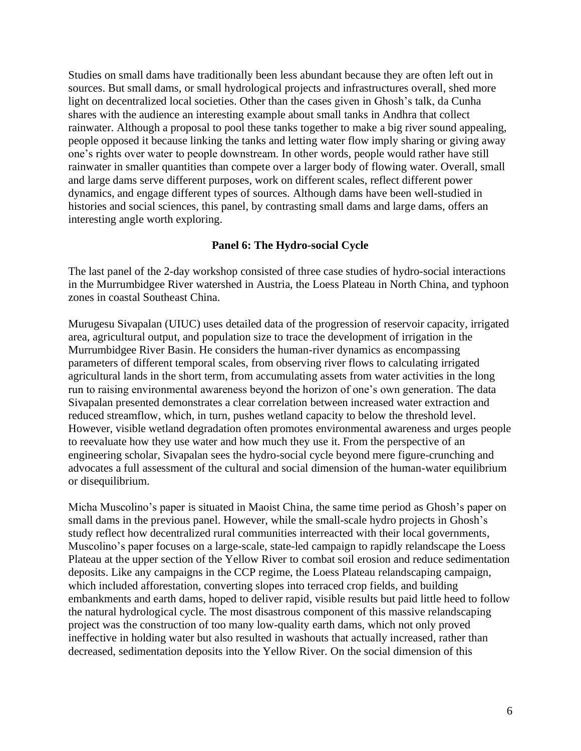Studies on small dams have traditionally been less abundant because they are often left out in sources. But small dams, or small hydrological projects and infrastructures overall, shed more light on decentralized local societies. Other than the cases given in Ghosh's talk, da Cunha shares with the audience an interesting example about small tanks in Andhra that collect rainwater. Although a proposal to pool these tanks together to make a big river sound appealing, people opposed it because linking the tanks and letting water flow imply sharing or giving away one's rights over water to people downstream. In other words, people would rather have still rainwater in smaller quantities than compete over a larger body of flowing water. Overall, small and large dams serve different purposes, work on different scales, reflect different power dynamics, and engage different types of sources. Although dams have been well-studied in histories and social sciences, this panel, by contrasting small dams and large dams, offers an interesting angle worth exploring.

# **Panel 6: The Hydro-social Cycle**

The last panel of the 2-day workshop consisted of three case studies of hydro-social interactions in the Murrumbidgee River watershed in Austria, the Loess Plateau in North China, and typhoon zones in coastal Southeast China.

Murugesu Sivapalan (UIUC) uses detailed data of the progression of reservoir capacity, irrigated area, agricultural output, and population size to trace the development of irrigation in the Murrumbidgee River Basin. He considers the human-river dynamics as encompassing parameters of different temporal scales, from observing river flows to calculating irrigated agricultural lands in the short term, from accumulating assets from water activities in the long run to raising environmental awareness beyond the horizon of one's own generation. The data Sivapalan presented demonstrates a clear correlation between increased water extraction and reduced streamflow, which, in turn, pushes wetland capacity to below the threshold level. However, visible wetland degradation often promotes environmental awareness and urges people to reevaluate how they use water and how much they use it. From the perspective of an engineering scholar, Sivapalan sees the hydro-social cycle beyond mere figure-crunching and advocates a full assessment of the cultural and social dimension of the human-water equilibrium or disequilibrium.

Micha Muscolino's paper is situated in Maoist China, the same time period as Ghosh's paper on small dams in the previous panel. However, while the small-scale hydro projects in Ghosh's study reflect how decentralized rural communities interreacted with their local governments, Muscolino's paper focuses on a large-scale, state-led campaign to rapidly relandscape the Loess Plateau at the upper section of the Yellow River to combat soil erosion and reduce sedimentation deposits. Like any campaigns in the CCP regime, the Loess Plateau relandscaping campaign, which included afforestation, converting slopes into terraced crop fields, and building embankments and earth dams, hoped to deliver rapid, visible results but paid little heed to follow the natural hydrological cycle. The most disastrous component of this massive relandscaping project was the construction of too many low-quality earth dams, which not only proved ineffective in holding water but also resulted in washouts that actually increased, rather than decreased, sedimentation deposits into the Yellow River. On the social dimension of this